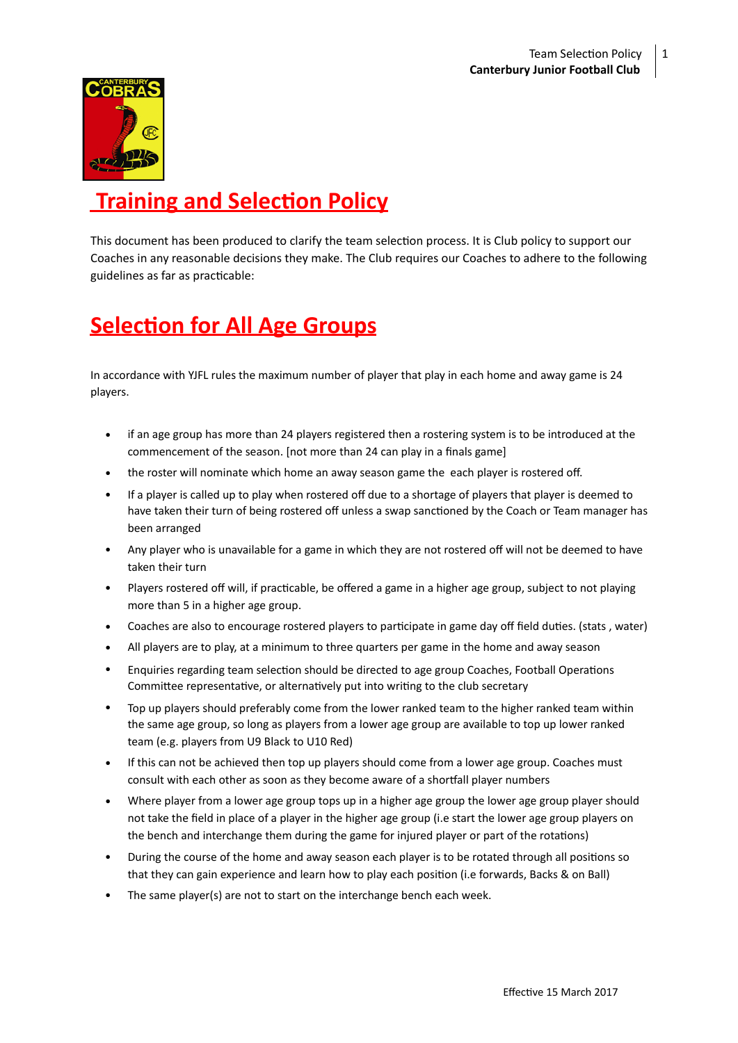

# **Training and Selection Policy**

This document has been produced to clarify the team selection process. It is Club policy to support our Coaches in any reasonable decisions they make. The Club requires our Coaches to adhere to the following guidelines as far as practicable:

# **Selection for All Age Groups**

In accordance with YJFL rules the maximum number of player that play in each home and away game is 24 players. 

- if an age group has more than 24 players registered then a rostering system is to be introduced at the commencement of the season. [not more than 24 can play in a finals game]
- the roster will nominate which home an away season game the each player is rostered off.
- If a player is called up to play when rostered off due to a shortage of players that player is deemed to have taken their turn of being rostered off unless a swap sanctioned by the Coach or Team manager has been arranged
- Any player who is unavailable for a game in which they are not rostered off will not be deemed to have taken their turn
- Players rostered off will, if practicable, be offered a game in a higher age group, subject to not playing more than 5 in a higher age group.
- Coaches are also to encourage rostered players to participate in game day off field duties. (stats, water)
- All players are to play, at a minimum to three quarters per game in the home and away season
- Enquiries regarding team selection should be directed to age group Coaches, Football Operations Committee representative, or alternatively put into writing to the club secretary
- Top up players should preferably come from the lower ranked team to the higher ranked team within the same age group, so long as players from a lower age group are available to top up lower ranked team (e.g. players from U9 Black to U10 Red)
- If this can not be achieved then top up players should come from a lower age group. Coaches must consult with each other as soon as they become aware of a shortfall player numbers
- Where player from a lower age group tops up in a higher age group the lower age group player should not take the field in place of a player in the higher age group (i.e start the lower age group players on the bench and interchange them during the game for injured player or part of the rotations)
- During the course of the home and away season each player is to be rotated through all positions so that they can gain experience and learn how to play each position (i.e forwards, Backs & on Ball)
- The same player(s) are not to start on the interchange bench each week.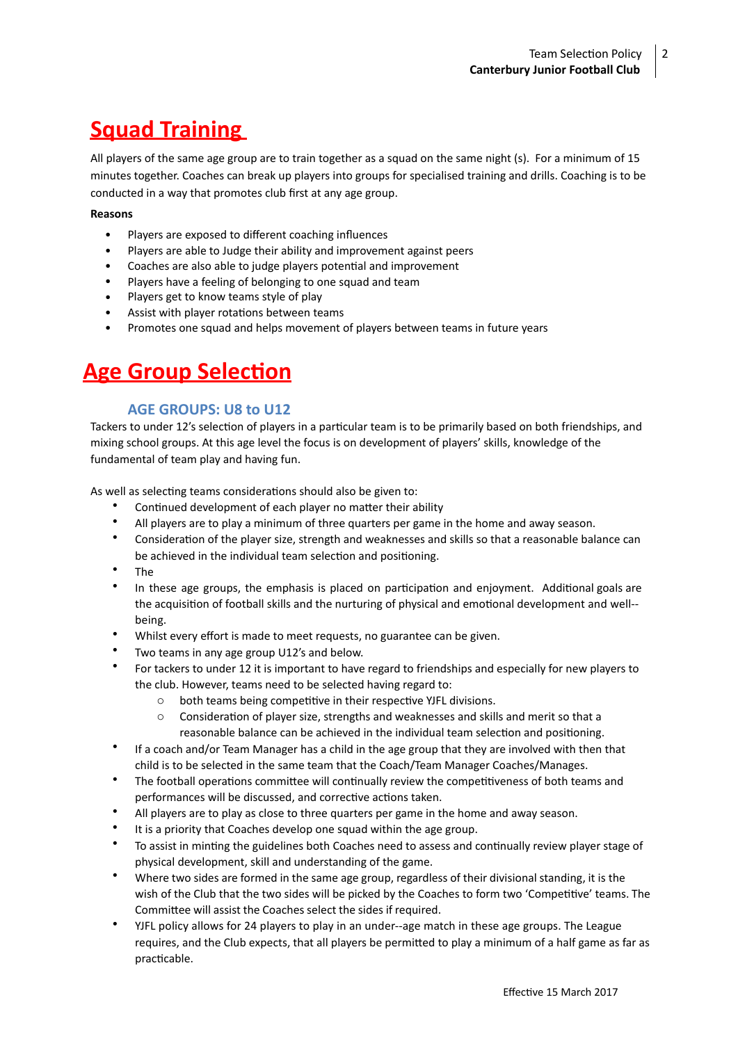# **Squad Training**

All players of the same age group are to train together as a squad on the same night (s). For a minimum of 15 minutes together. Coaches can break up players into groups for specialised training and drills. Coaching is to be conducted in a way that promotes club first at any age group.

#### **Reasons**

- Players are exposed to different coaching influences
- Players are able to Judge their ability and improvement against peers
- Coaches are also able to judge players potential and improvement
- Players have a feeling of belonging to one squad and team
- Players get to know teams style of play
- Assist with player rotations between teams
- Promotes one squad and helps movement of players between teams in future years

# **Age Group Selection**

### **AGE GROUPS: U8 to U12**

Tackers to under 12's selection of players in a particular team is to be primarily based on both friendships, and mixing school groups. At this age level the focus is on development of players' skills, knowledge of the fundamental of team play and having fun.

As well as selecting teams considerations should also be given to:

- Continued development of each player no matter their ability
- All players are to play a minimum of three quarters per game in the home and away season.
- Consideration of the player size, strength and weaknesses and skills so that a reasonable balance can be achieved in the individual team selection and positioning.
- The
- In these age groups, the emphasis is placed on participation and enjoyment. Additional goals are the acquisition of football skills and the nurturing of physical and emotional development and well-being.
- Whilst every effort is made to meet requests, no guarantee can be given.
- Two teams in any age group U12's and below.
- For tackers to under 12 it is important to have regard to friendships and especially for new players to the club. However, teams need to be selected having regard to:
	- $\circ$  both teams being competitive in their respective YJFL divisions.
	- $\circ$  Consideration of player size, strengths and weaknesses and skills and merit so that a reasonable balance can be achieved in the individual team selection and positioning.
- If a coach and/or Team Manager has a child in the age group that they are involved with then that child is to be selected in the same team that the Coach/Team Manager Coaches/Manages.
- The football operations committee will continually review the competitiveness of both teams and performances will be discussed, and corrective actions taken.
- All players are to play as close to three quarters per game in the home and away season.
- It is a priority that Coaches develop one squad within the age group.
- \* To assist in minting the guidelines both Coaches need to assess and continually review player stage of physical development, skill and understanding of the game.
- Where two sides are formed in the same age group, regardless of their divisional standing, it is the wish of the Club that the two sides will be picked by the Coaches to form two 'Competitive' teams. The Committee will assist the Coaches select the sides if required.
- YJFL policy allows for 24 players to play in an under--age match in these age groups. The League requires, and the Club expects, that all players be permitted to play a minimum of a half game as far as practicable.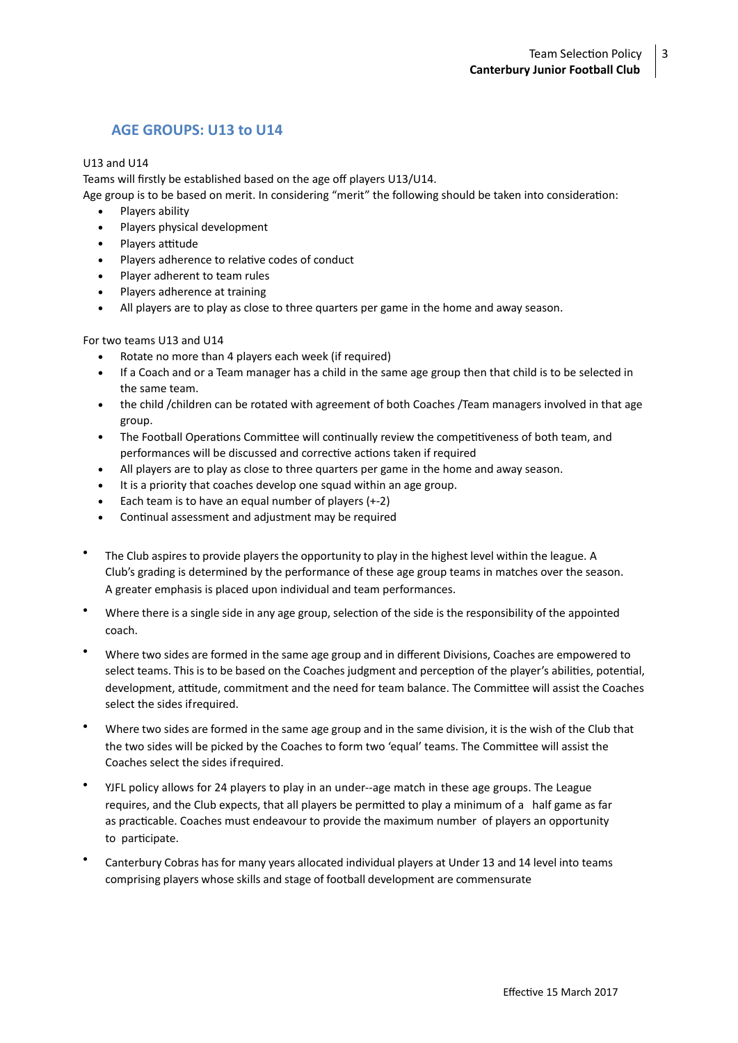## **AGE GROUPS: U13 to U14**

#### U13 and U14

Teams will firstly be established based on the age off players U13/U14.

Age group is to be based on merit. In considering "merit" the following should be taken into consideration:

- Players ability
- Players physical development
- Players attitude
- Players adherence to relative codes of conduct
- Player adherent to team rules
- Players adherence at training
- All players are to play as close to three quarters per game in the home and away season.

### For two teams U13 and U14

- Rotate no more than 4 players each week (if required)
- If a Coach and or a Team manager has a child in the same age group then that child is to be selected in the same team.
- the child /children can be rotated with agreement of both Coaches /Team managers involved in that age group.
- The Football Operations Committee will continually review the competitiveness of both team, and performances will be discussed and corrective actions taken if required
- All players are to play as close to three quarters per game in the home and away season.
- It is a priority that coaches develop one squad within an age group.
- Each team is to have an equal number of players  $(+-2)$
- Continual assessment and adjustment may be required
- The Club aspires to provide players the opportunity to play in the highest level within the league. A Club's grading is determined by the performance of these age group teams in matches over the season. A greater emphasis is placed upon individual and team performances.
- Where there is a single side in any age group, selection of the side is the responsibility of the appointed coach.
- Where two sides are formed in the same age group and in different Divisions, Coaches are empowered to select teams. This is to be based on the Coaches judgment and perception of the player's abilities, potential, development, attitude, commitment and the need for team balance. The Committee will assist the Coaches select the sides ifrequired.
- Where two sides are formed in the same age group and in the same division, it is the wish of the Club that the two sides will be picked by the Coaches to form two 'equal' teams. The Committee will assist the Coaches select the sides if required.
- YJFL policy allows for 24 players to play in an under--age match in these age groups. The League requires, and the Club expects, that all players be permitted to play a minimum of a half game as far as practicable. Coaches must endeavour to provide the maximum number of players an opportunity to participate.
- Canterbury Cobras has for many years allocated individual players at Under 13 and 14 level into teams comprising players whose skills and stage of football development are commensurate